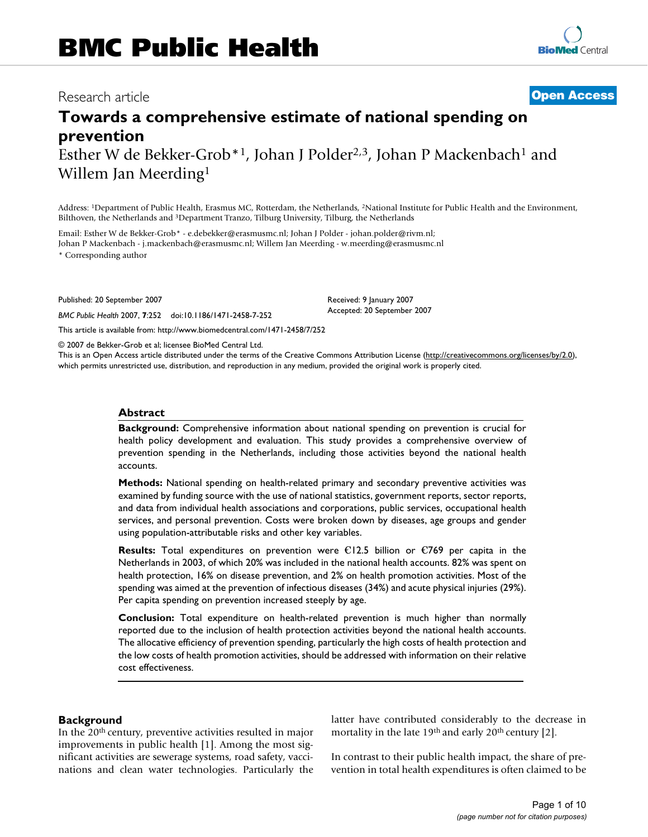# Research article **[Open Access](http://www.biomedcentral.com/info/about/charter/)**

# **Towards a comprehensive estimate of national spending on prevention**

Esther W de Bekker-Grob\*1, Johan J Polder<sup>2,3</sup>, Johan P Mackenbach<sup>1</sup> and Willem Jan Meerding1

Address: 1Department of Public Health, Erasmus MC, Rotterdam, the Netherlands, 2National Institute for Public Health and the Environment, Bilthoven, the Netherlands and 3Department Tranzo, Tilburg University, Tilburg, the Netherlands

Email: Esther W de Bekker-Grob\* - e.debekker@erasmusmc.nl; Johan J Polder - johan.polder@rivm.nl; Johan P Mackenbach - j.mackenbach@erasmusmc.nl; Willem Jan Meerding - w.meerding@erasmusmc.nl

\* Corresponding author

Published: 20 September 2007

*BMC Public Health* 2007, **7**:252 doi:10.1186/1471-2458-7-252

[This article is available from: http://www.biomedcentral.com/1471-2458/7/252](http://www.biomedcentral.com/1471-2458/7/252)

© 2007 de Bekker-Grob et al; licensee BioMed Central Ltd.

This is an Open Access article distributed under the terms of the Creative Commons Attribution License [\(http://creativecommons.org/licenses/by/2.0\)](http://creativecommons.org/licenses/by/2.0), which permits unrestricted use, distribution, and reproduction in any medium, provided the original work is properly cited.

Received: 9 January 2007 Accepted: 20 September 2007

#### **Abstract**

**Background:** Comprehensive information about national spending on prevention is crucial for health policy development and evaluation. This study provides a comprehensive overview of prevention spending in the Netherlands, including those activities beyond the national health accounts.

**Methods:** National spending on health-related primary and secondary preventive activities was examined by funding source with the use of national statistics, government reports, sector reports, and data from individual health associations and corporations, public services, occupational health services, and personal prevention. Costs were broken down by diseases, age groups and gender using population-attributable risks and other key variables.

**Results:** Total expenditures on prevention were €12.5 billion or €769 per capita in the Netherlands in 2003, of which 20% was included in the national health accounts. 82% was spent on health protection, 16% on disease prevention, and 2% on health promotion activities. Most of the spending was aimed at the prevention of infectious diseases (34%) and acute physical injuries (29%). Per capita spending on prevention increased steeply by age.

**Conclusion:** Total expenditure on health-related prevention is much higher than normally reported due to the inclusion of health protection activities beyond the national health accounts. The allocative efficiency of prevention spending, particularly the high costs of health protection and the low costs of health promotion activities, should be addressed with information on their relative cost effectiveness.

#### **Background**

In the 20th century, preventive activities resulted in major improvements in public health [1]. Among the most significant activities are sewerage systems, road safety, vaccinations and clean water technologies. Particularly the latter have contributed considerably to the decrease in mortality in the late  $19<sup>th</sup>$  and early  $20<sup>th</sup>$  century  $[2]$ .

In contrast to their public health impact, the share of prevention in total health expenditures is often claimed to be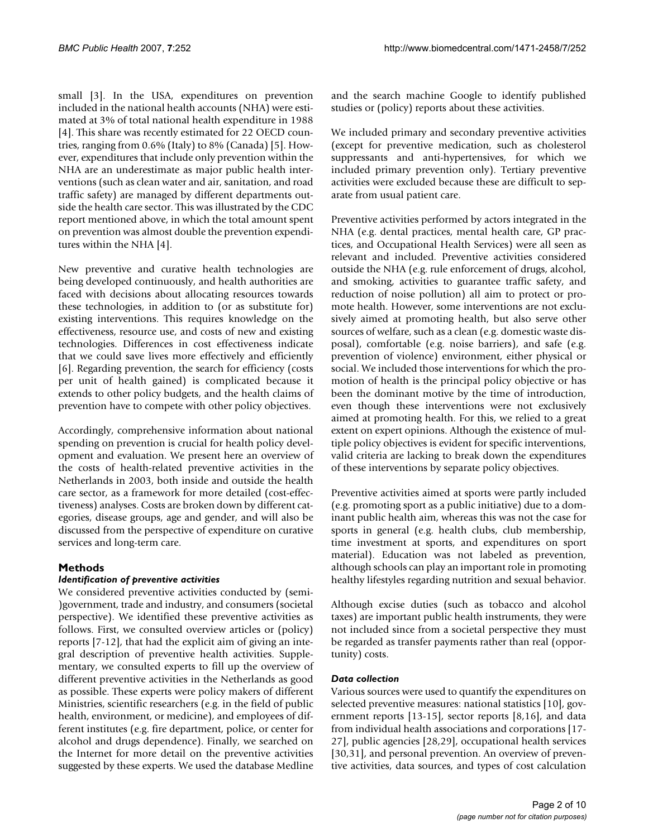small [3]. In the USA, expenditures on prevention included in the national health accounts (NHA) were estimated at 3% of total national health expenditure in 1988 [4]. This share was recently estimated for 22 OECD countries, ranging from 0.6% (Italy) to 8% (Canada) [5]. However, expenditures that include only prevention within the NHA are an underestimate as major public health interventions (such as clean water and air, sanitation, and road traffic safety) are managed by different departments outside the health care sector. This was illustrated by the CDC report mentioned above, in which the total amount spent on prevention was almost double the prevention expenditures within the NHA [4].

New preventive and curative health technologies are being developed continuously, and health authorities are faced with decisions about allocating resources towards these technologies, in addition to (or as substitute for) existing interventions. This requires knowledge on the effectiveness, resource use, and costs of new and existing technologies. Differences in cost effectiveness indicate that we could save lives more effectively and efficiently [6]. Regarding prevention, the search for efficiency (costs per unit of health gained) is complicated because it extends to other policy budgets, and the health claims of prevention have to compete with other policy objectives.

Accordingly, comprehensive information about national spending on prevention is crucial for health policy development and evaluation. We present here an overview of the costs of health-related preventive activities in the Netherlands in 2003, both inside and outside the health care sector, as a framework for more detailed (cost-effectiveness) analyses. Costs are broken down by different categories, disease groups, age and gender, and will also be discussed from the perspective of expenditure on curative services and long-term care.

# **Methods**

## *Identification of preventive activities*

We considered preventive activities conducted by (semi- )government, trade and industry, and consumers (societal perspective). We identified these preventive activities as follows. First, we consulted overview articles or (policy) reports [7-12], that had the explicit aim of giving an integral description of preventive health activities. Supplementary, we consulted experts to fill up the overview of different preventive activities in the Netherlands as good as possible. These experts were policy makers of different Ministries, scientific researchers (e.g. in the field of public health, environment, or medicine), and employees of different institutes (e.g. fire department, police, or center for alcohol and drugs dependence). Finally, we searched on the Internet for more detail on the preventive activities suggested by these experts. We used the database Medline and the search machine Google to identify published studies or (policy) reports about these activities.

We included primary and secondary preventive activities (except for preventive medication, such as cholesterol suppressants and anti-hypertensives, for which we included primary prevention only). Tertiary preventive activities were excluded because these are difficult to separate from usual patient care.

Preventive activities performed by actors integrated in the NHA (e.g. dental practices, mental health care, GP practices, and Occupational Health Services) were all seen as relevant and included. Preventive activities considered outside the NHA (e.g. rule enforcement of drugs, alcohol, and smoking, activities to guarantee traffic safety, and reduction of noise pollution) all aim to protect or promote health. However, some interventions are not exclusively aimed at promoting health, but also serve other sources of welfare, such as a clean (e.g. domestic waste disposal), comfortable (e.g. noise barriers), and safe (e.g. prevention of violence) environment, either physical or social. We included those interventions for which the promotion of health is the principal policy objective or has been the dominant motive by the time of introduction, even though these interventions were not exclusively aimed at promoting health. For this, we relied to a great extent on expert opinions. Although the existence of multiple policy objectives is evident for specific interventions, valid criteria are lacking to break down the expenditures of these interventions by separate policy objectives.

Preventive activities aimed at sports were partly included (e.g. promoting sport as a public initiative) due to a dominant public health aim, whereas this was not the case for sports in general (e.g. health clubs, club membership, time investment at sports, and expenditures on sport material). Education was not labeled as prevention, although schools can play an important role in promoting healthy lifestyles regarding nutrition and sexual behavior.

Although excise duties (such as tobacco and alcohol taxes) are important public health instruments, they were not included since from a societal perspective they must be regarded as transfer payments rather than real (opportunity) costs.

## *Data collection*

Various sources were used to quantify the expenditures on selected preventive measures: national statistics [10], government reports [13-15], sector reports [8,16], and data from individual health associations and corporations [17- 27], public agencies [28,29], occupational health services [30,31], and personal prevention. An overview of preventive activities, data sources, and types of cost calculation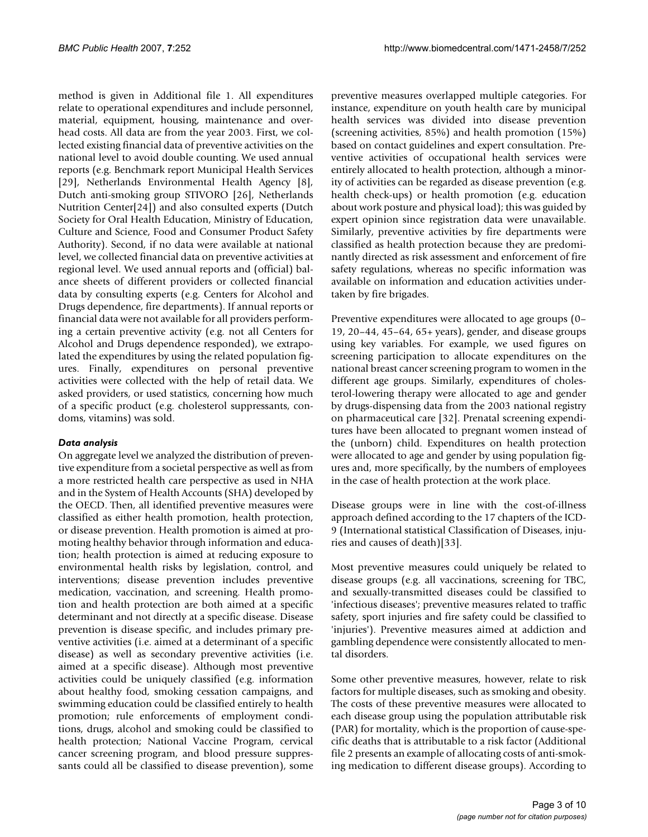method is given in Additional file 1. All expenditures relate to operational expenditures and include personnel, material, equipment, housing, maintenance and overhead costs. All data are from the year 2003. First, we collected existing financial data of preventive activities on the national level to avoid double counting. We used annual reports (e.g. Benchmark report Municipal Health Services [29], Netherlands Environmental Health Agency [8], Dutch anti-smoking group STIVORO [26], Netherlands Nutrition Center[24]) and also consulted experts (Dutch Society for Oral Health Education, Ministry of Education, Culture and Science, Food and Consumer Product Safety Authority). Second, if no data were available at national level, we collected financial data on preventive activities at regional level. We used annual reports and (official) balance sheets of different providers or collected financial data by consulting experts (e.g. Centers for Alcohol and Drugs dependence, fire departments). If annual reports or financial data were not available for all providers performing a certain preventive activity (e.g. not all Centers for Alcohol and Drugs dependence responded), we extrapolated the expenditures by using the related population figures. Finally, expenditures on personal preventive activities were collected with the help of retail data. We asked providers, or used statistics, concerning how much of a specific product (e.g. cholesterol suppressants, condoms, vitamins) was sold.

## *Data analysis*

On aggregate level we analyzed the distribution of preventive expenditure from a societal perspective as well as from a more restricted health care perspective as used in NHA and in the System of Health Accounts (SHA) developed by the OECD. Then, all identified preventive measures were classified as either health promotion, health protection, or disease prevention. Health promotion is aimed at promoting healthy behavior through information and education; health protection is aimed at reducing exposure to environmental health risks by legislation, control, and interventions; disease prevention includes preventive medication, vaccination, and screening. Health promotion and health protection are both aimed at a specific determinant and not directly at a specific disease. Disease prevention is disease specific, and includes primary preventive activities (i.e. aimed at a determinant of a specific disease) as well as secondary preventive activities (i.e. aimed at a specific disease). Although most preventive activities could be uniquely classified (e.g. information about healthy food, smoking cessation campaigns, and swimming education could be classified entirely to health promotion; rule enforcements of employment conditions, drugs, alcohol and smoking could be classified to health protection; National Vaccine Program, cervical cancer screening program, and blood pressure suppressants could all be classified to disease prevention), some preventive measures overlapped multiple categories. For instance, expenditure on youth health care by municipal health services was divided into disease prevention (screening activities, 85%) and health promotion (15%) based on contact guidelines and expert consultation. Preventive activities of occupational health services were entirely allocated to health protection, although a minority of activities can be regarded as disease prevention (e.g. health check-ups) or health promotion (e.g. education about work posture and physical load); this was guided by expert opinion since registration data were unavailable. Similarly, preventive activities by fire departments were classified as health protection because they are predominantly directed as risk assessment and enforcement of fire safety regulations, whereas no specific information was available on information and education activities undertaken by fire brigades.

Preventive expenditures were allocated to age groups (0– 19, 20–44, 45–64, 65+ years), gender, and disease groups using key variables. For example, we used figures on screening participation to allocate expenditures on the national breast cancer screening program to women in the different age groups. Similarly, expenditures of cholesterol-lowering therapy were allocated to age and gender by drugs-dispensing data from the 2003 national registry on pharmaceutical care [32]. Prenatal screening expenditures have been allocated to pregnant women instead of the (unborn) child. Expenditures on health protection were allocated to age and gender by using population figures and, more specifically, by the numbers of employees in the case of health protection at the work place.

Disease groups were in line with the cost-of-illness approach defined according to the 17 chapters of the ICD-9 (International statistical Classification of Diseases, injuries and causes of death)[33].

Most preventive measures could uniquely be related to disease groups (e.g. all vaccinations, screening for TBC, and sexually-transmitted diseases could be classified to 'infectious diseases'; preventive measures related to traffic safety, sport injuries and fire safety could be classified to 'injuries'). Preventive measures aimed at addiction and gambling dependence were consistently allocated to mental disorders.

Some other preventive measures, however, relate to risk factors for multiple diseases, such as smoking and obesity. The costs of these preventive measures were allocated to each disease group using the population attributable risk (PAR) for mortality, which is the proportion of cause-specific deaths that is attributable to a risk factor (Additional file 2 presents an example of allocating costs of anti-smoking medication to different disease groups). According to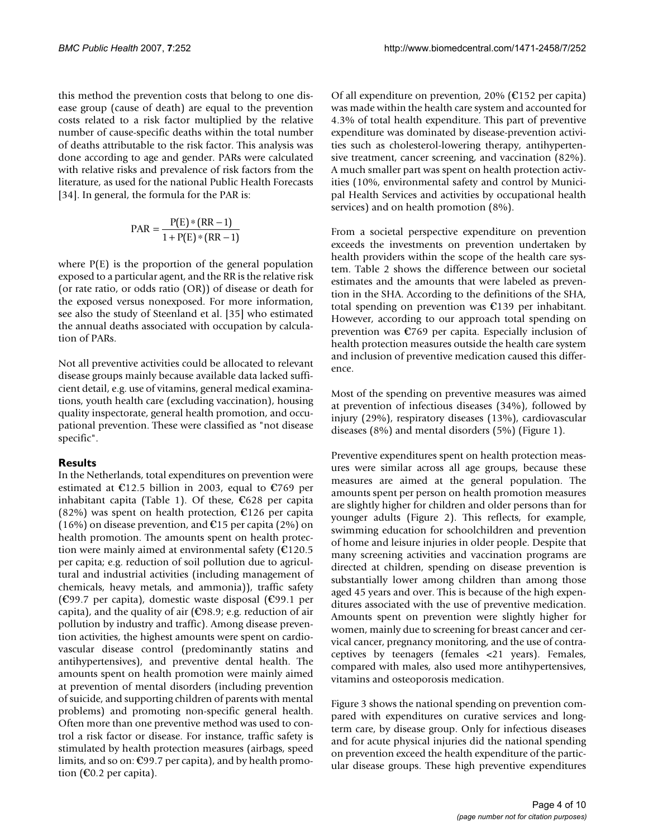this method the prevention costs that belong to one disease group (cause of death) are equal to the prevention costs related to a risk factor multiplied by the relative number of cause-specific deaths within the total number of deaths attributable to the risk factor. This analysis was done according to age and gender. PARs were calculated with relative risks and prevalence of risk factors from the literature, as used for the national Public Health Forecasts [34]. In general, the formula for the PAR is:

$$
PAR = \frac{P(E) * (RR - 1)}{1 + P(E) * (RR - 1)}
$$

where P(E) is the proportion of the general population exposed to a particular agent, and the RR is the relative risk (or rate ratio, or odds ratio (OR)) of disease or death for the exposed versus nonexposed. For more information, see also the study of Steenland et al. [35] who estimated the annual deaths associated with occupation by calculation of PARs.

Not all preventive activities could be allocated to relevant disease groups mainly because available data lacked sufficient detail, e.g. use of vitamins, general medical examinations, youth health care (excluding vaccination), housing quality inspectorate, general health promotion, and occupational prevention. These were classified as "not disease specific".

# **Results**

In the Netherlands, total expenditures on prevention were estimated at  $E12.5$  billion in 2003, equal to  $E769$  per inhabitant capita (Table 1). Of these, €628 per capita (82%) was spent on health protection,  $\epsilon$ 126 per capita (16%) on disease prevention, and  $\mathfrak{C}15$  per capita (2%) on health promotion. The amounts spent on health protection were mainly aimed at environmental safety ( $\text{\textsterling}120.5$ ) per capita; e.g. reduction of soil pollution due to agricultural and industrial activities (including management of chemicals, heavy metals, and ammonia)), traffic safety ( $\epsilon$ 99.7 per capita), domestic waste disposal ( $\epsilon$ 99.1 per capita), and the quality of air ( $\epsilon$ 98.9; e.g. reduction of air pollution by industry and traffic). Among disease prevention activities, the highest amounts were spent on cardiovascular disease control (predominantly statins and antihypertensives), and preventive dental health. The amounts spent on health promotion were mainly aimed at prevention of mental disorders (including prevention of suicide, and supporting children of parents with mental problems) and promoting non-specific general health. Often more than one preventive method was used to control a risk factor or disease. For instance, traffic safety is stimulated by health protection measures (airbags, speed limits, and so on: €99.7 per capita), and by health promotion (€0.2 per capita).

Of all expenditure on prevention, 20% ( $E152$  per capita) was made within the health care system and accounted for 4.3% of total health expenditure. This part of preventive expenditure was dominated by disease-prevention activities such as cholesterol-lowering therapy, antihypertensive treatment, cancer screening, and vaccination (82%). A much smaller part was spent on health protection activities (10%, environmental safety and control by Municipal Health Services and activities by occupational health services) and on health promotion (8%).

From a societal perspective expenditure on prevention exceeds the investments on prevention undertaken by health providers within the scope of the health care system. Table 2 shows the difference between our societal estimates and the amounts that were labeled as prevention in the SHA. According to the definitions of the SHA, total spending on prevention was €139 per inhabitant. However, according to our approach total spending on prevention was €769 per capita. Especially inclusion of health protection measures outside the health care system and inclusion of preventive medication caused this difference.

Most of the spending on preventive measures was aimed at prevention of infectious diseases (34%), followed by injury (29%), respiratory diseases (13%), cardiovascular diseases (8%) and mental disorders (5%) (Figure 1).

Preventive expenditures spent on health protection measures were similar across all age groups, because these measures are aimed at the general population. The amounts spent per person on health promotion measures are slightly higher for children and older persons than for younger adults (Figure 2). This reflects, for example, swimming education for schoolchildren and prevention of home and leisure injuries in older people. Despite that many screening activities and vaccination programs are directed at children, spending on disease prevention is substantially lower among children than among those aged 45 years and over. This is because of the high expenditures associated with the use of preventive medication. Amounts spent on prevention were slightly higher for women, mainly due to screening for breast cancer and cervical cancer, pregnancy monitoring, and the use of contraceptives by teenagers (females <21 years). Females, compared with males, also used more antihypertensives, vitamins and osteoporosis medication.

Figure 3 shows the national spending on prevention compared with expenditures on curative services and longterm care, by disease group. Only for infectious diseases and for acute physical injuries did the national spending on prevention exceed the health expenditure of the particular disease groups. These high preventive expenditures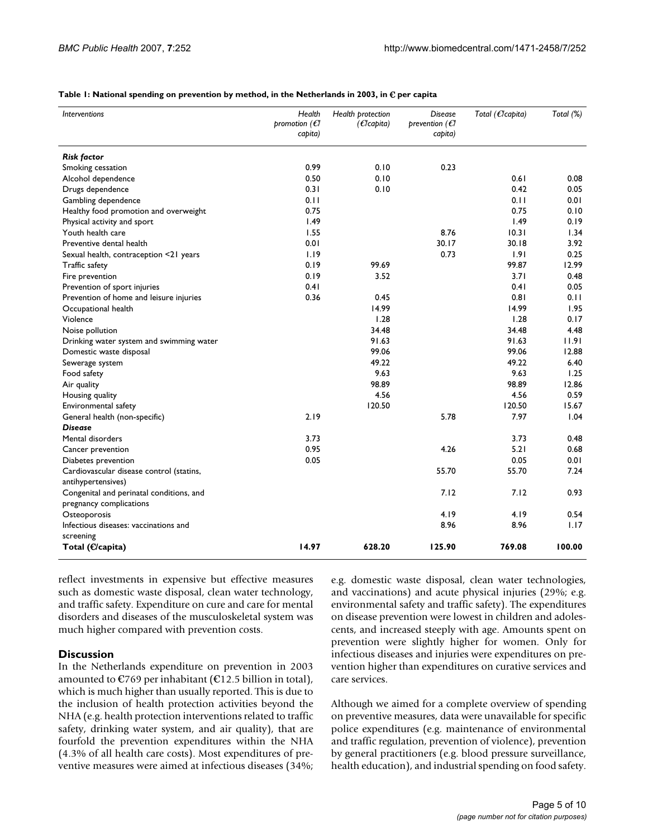| <b>Interventions</b>                     | Health<br>promotion ( $\epsilon$ ) | Health protection<br>$(C \cap C)$ | <b>Disease</b><br>prevention ( $\epsilon$ ) | Total (€/capita) | Total (%) |
|------------------------------------------|------------------------------------|-----------------------------------|---------------------------------------------|------------------|-----------|
|                                          | capita)                            |                                   | capita)                                     |                  |           |
| <b>Risk factor</b>                       |                                    |                                   |                                             |                  |           |
| Smoking cessation                        | 0.99                               | 0.10                              | 0.23                                        |                  |           |
| Alcohol dependence                       | 0.50                               | 0.10                              |                                             | 0.61             | 0.08      |
| Drugs dependence                         | 0.31                               | 0.10                              |                                             | 0.42             | 0.05      |
| Gambling dependence                      | 0.11                               |                                   |                                             | 0.11             | 0.01      |
| Healthy food promotion and overweight    | 0.75                               |                                   |                                             | 0.75             | 0.10      |
| Physical activity and sport              | 1.49                               |                                   |                                             | 1.49             | 0.19      |
| Youth health care                        | 1.55                               |                                   | 8.76                                        | 10.31            | 1.34      |
| Preventive dental health                 | 0.01                               |                                   | 30.17                                       | 30.18            | 3.92      |
| Sexual health, contraception <21 years   | 1.19                               |                                   | 0.73                                        | 1.91             | 0.25      |
| Traffic safety                           | 0.19                               | 99.69                             |                                             | 99.87            | 12.99     |
| Fire prevention                          | 0.19                               | 3.52                              |                                             | 3.71             | 0.48      |
| Prevention of sport injuries             | 0.41                               |                                   |                                             | 0.41             | 0.05      |
| Prevention of home and leisure injuries  | 0.36                               | 0.45                              |                                             | 0.81             | 0.11      |
| Occupational health                      |                                    | 14.99                             |                                             | 14.99            | 1.95      |
| Violence                                 |                                    | 1.28                              |                                             | 1.28             | 0.17      |
| Noise pollution                          |                                    | 34.48                             |                                             | 34.48            | 4.48      |
| Drinking water system and swimming water |                                    | 91.63                             |                                             | 91.63            | 11.91     |
| Domestic waste disposal                  |                                    | 99.06                             |                                             | 99.06            | 12.88     |
| Sewerage system                          |                                    | 49.22                             |                                             | 49.22            | 6.40      |
| Food safety                              |                                    | 9.63                              |                                             | 9.63             | 1.25      |
| Air quality                              |                                    | 98.89                             |                                             | 98.89            | 12.86     |
| Housing quality                          |                                    | 4.56                              |                                             | 4.56             | 0.59      |
| Environmental safety                     |                                    | 120.50                            |                                             | 120.50           | 15.67     |
| General health (non-specific)            | 2.19                               |                                   | 5.78                                        | 7.97             | 1.04      |
| <b>Disease</b>                           |                                    |                                   |                                             |                  |           |
| Mental disorders                         | 3.73                               |                                   |                                             | 3.73             | 0.48      |
| Cancer prevention                        | 0.95                               |                                   | 4.26                                        | 5.21             | 0.68      |
| Diabetes prevention                      | 0.05                               |                                   |                                             | 0.05             | 0.01      |
| Cardiovascular disease control (statins, |                                    |                                   | 55.70                                       | 55.70            | 7.24      |
| antihypertensives)                       |                                    |                                   |                                             |                  |           |
| Congenital and perinatal conditions, and |                                    |                                   | 7.12                                        | 7.12             | 0.93      |
| pregnancy complications                  |                                    |                                   |                                             |                  |           |
| Osteoporosis                             |                                    |                                   | 4.19                                        | 4.19             | 0.54      |
| Infectious diseases: vaccinations and    |                                    |                                   | 8.96                                        | 8.96             | 1.17      |
| screening                                |                                    |                                   |                                             |                  |           |
| Total (€/capita)                         | 14.97                              | 628.20                            | 125.90                                      | 769.08           | 100.00    |

#### **Table 1: National spending on prevention by method, in the Netherlands in 2003, in** € **per capita**

reflect investments in expensive but effective measures such as domestic waste disposal, clean water technology, and traffic safety. Expenditure on cure and care for mental disorders and diseases of the musculoskeletal system was much higher compared with prevention costs.

## **Discussion**

In the Netherlands expenditure on prevention in 2003 amounted to  $\mathcal{C}$ 769 per inhabitant ( $\mathcal{C}$ 12.5 billion in total), which is much higher than usually reported. This is due to the inclusion of health protection activities beyond the NHA (e.g. health protection interventions related to traffic safety, drinking water system, and air quality), that are fourfold the prevention expenditures within the NHA (4.3% of all health care costs). Most expenditures of preventive measures were aimed at infectious diseases (34%;

e.g. domestic waste disposal, clean water technologies, and vaccinations) and acute physical injuries (29%; e.g. environmental safety and traffic safety). The expenditures on disease prevention were lowest in children and adolescents, and increased steeply with age. Amounts spent on prevention were slightly higher for women. Only for infectious diseases and injuries were expenditures on prevention higher than expenditures on curative services and care services.

Although we aimed for a complete overview of spending on preventive measures, data were unavailable for specific police expenditures (e.g. maintenance of environmental and traffic regulation, prevention of violence), prevention by general practitioners (e.g. blood pressure surveillance, health education), and industrial spending on food safety.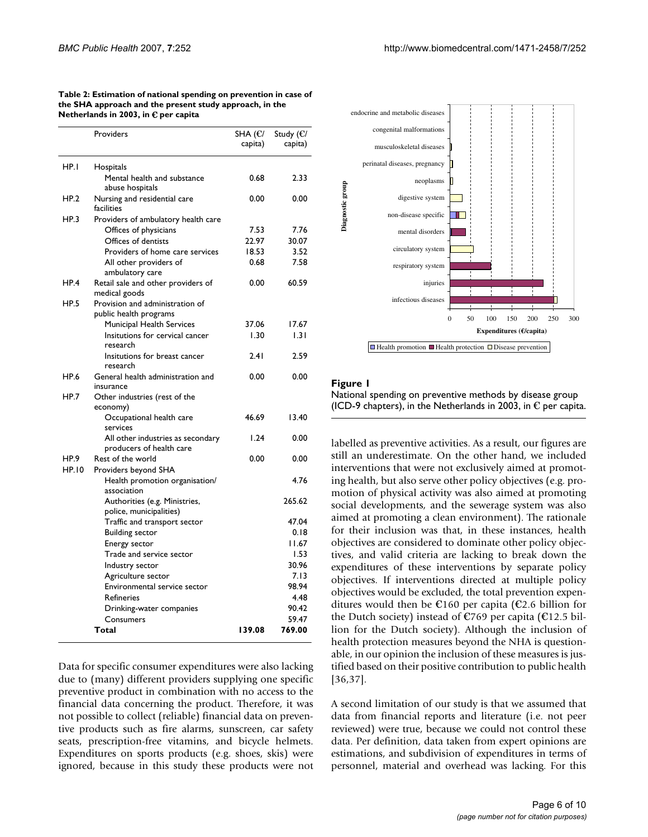**Table 2: Estimation of national spending on prevention in case of the SHA approach and the present study approach, in the Netherlands in 2003, in** € **per capita**

|              | Providers                                    | SHA $(E/$     | Study (€/     |
|--------------|----------------------------------------------|---------------|---------------|
|              |                                              | capita)       | capita)       |
| HP.I         |                                              |               |               |
|              | Hospitals<br>Mental health and substance     | 0.68          | 2.33          |
|              | abuse hospitals                              |               |               |
| HP.2         | Nursing and residential care                 | 0.00          | 0.00          |
|              | facilities                                   |               |               |
| HP.3         | Providers of ambulatory health care          |               |               |
|              | Offices of physicians<br>Offices of dentists | 7.53<br>22.97 | 7.76<br>30.07 |
|              | Providers of home care services              | 18.53         | 3.52          |
|              | All other providers of                       | 0.68          | 7.58          |
|              | ambulatory care                              |               |               |
| HP.4         | Retail sale and other providers of           | 0.00          | 60.59         |
|              | medical goods                                |               |               |
| HP.5         | Provision and administration of              |               |               |
|              | public health programs                       |               |               |
|              | Municipal Health Services                    | 37.06         | 17.67         |
|              | Insitutions for cervical cancer<br>research  | 1.30          | 1.31          |
|              | Insitutions for breast cancer                | 2.41          | 2.59          |
|              | research                                     |               |               |
| HP.6         | General health administration and            | 0.00          | 0.00          |
|              | insurance                                    |               |               |
| <b>HP.7</b>  | Other industries (rest of the                |               |               |
|              | economy)                                     |               |               |
|              | Occupational health care<br>services         | 46.69         | 13.40         |
|              | All other industries as secondary            | 1.24          | 0.00          |
|              | producers of health care                     |               |               |
| HP.9         | Rest of the world                            | 0.00          | 0.00          |
| <b>HP.10</b> | Providers beyond SHA                         |               |               |
|              | Health promotion organisation/               |               | 4.76          |
|              | association                                  |               |               |
|              | Authorities (e.g. Ministries,                |               | 265.62        |
|              | police, municipalities)                      |               |               |
|              | Traffic and transport sector                 |               | 47.04<br>0.18 |
|              | <b>Building sector</b><br>Energy sector      |               | 11.67         |
|              | Trade and service sector                     |               | 1.53          |
|              | Industry sector                              |               | 30.96         |
|              | Agriculture sector                           |               | 7.13          |
|              | Environmental service sector                 |               | 98.94         |
|              | Refineries                                   |               | 4.48          |
|              | Drinking-water companies                     |               | 90.42         |
|              | Consumers                                    |               | 59.47         |
|              | Total                                        | 139.08        | 769.00        |

Data for specific consumer expenditures were also lacking due to (many) different providers supplying one specific preventive product in combination with no access to the financial data concerning the product. Therefore, it was not possible to collect (reliable) financial data on preventive products such as fire alarms, sunscreen, car safety seats, prescription-free vitamins, and bicycle helmets. Expenditures on sports products (e.g. shoes, skis) were ignored, because in this study these products were not



#### Figure 1



labelled as preventive activities. As a result, our figures are still an underestimate. On the other hand, we included interventions that were not exclusively aimed at promoting health, but also serve other policy objectives (e.g. promotion of physical activity was also aimed at promoting social developments, and the sewerage system was also aimed at promoting a clean environment). The rationale for their inclusion was that, in these instances, health objectives are considered to dominate other policy objectives, and valid criteria are lacking to break down the expenditures of these interventions by separate policy objectives. If interventions directed at multiple policy objectives would be excluded, the total prevention expenditures would then be  $\mathfrak{C}160$  per capita ( $\mathfrak{C}2.6$  billion for the Dutch society) instead of  $E$ 769 per capita ( $E$ 12.5 billion for the Dutch society). Although the inclusion of health protection measures beyond the NHA is questionable, in our opinion the inclusion of these measures is justified based on their positive contribution to public health [36,37].

A second limitation of our study is that we assumed that data from financial reports and literature (i.e. not peer reviewed) were true, because we could not control these data. Per definition, data taken from expert opinions are estimations, and subdivision of expenditures in terms of personnel, material and overhead was lacking. For this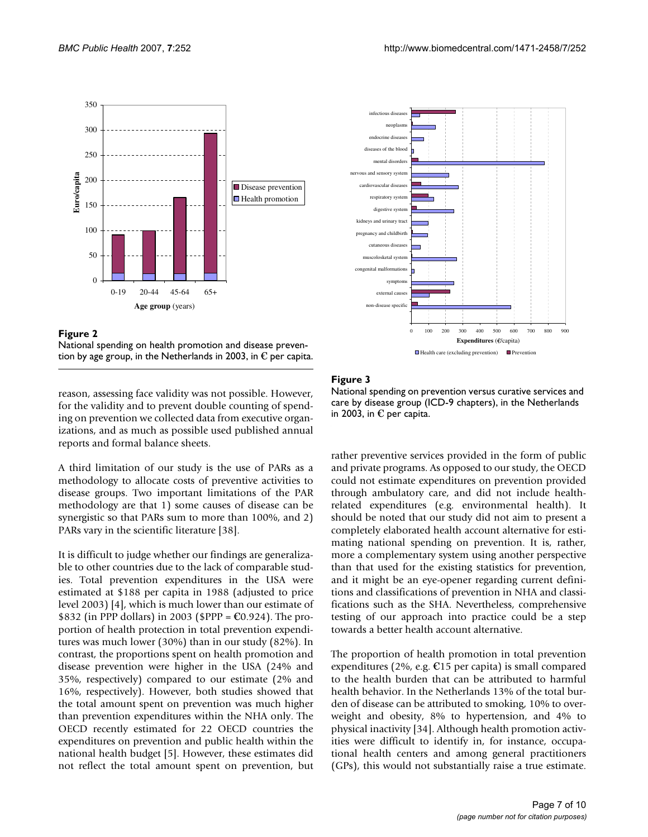

## Figure 2

National spending on health promotion and disease prevention by age group, in the Netherlands in 2003, in € per capita.

reason, assessing face validity was not possible. However, for the validity and to prevent double counting of spending on prevention we collected data from executive organizations, and as much as possible used published annual reports and formal balance sheets.

A third limitation of our study is the use of PARs as a methodology to allocate costs of preventive activities to disease groups. Two important limitations of the PAR methodology are that 1) some causes of disease can be synergistic so that PARs sum to more than 100%, and 2) PARs vary in the scientific literature [38].

It is difficult to judge whether our findings are generalizable to other countries due to the lack of comparable studies. Total prevention expenditures in the USA were estimated at \$188 per capita in 1988 (adjusted to price level 2003) [4], which is much lower than our estimate of \$832 (in PPP dollars) in 2003 (\$PPP = €0.924). The proportion of health protection in total prevention expenditures was much lower (30%) than in our study (82%). In contrast, the proportions spent on health promotion and disease prevention were higher in the USA (24% and 35%, respectively) compared to our estimate (2% and 16%, respectively). However, both studies showed that the total amount spent on prevention was much higher than prevention expenditures within the NHA only. The OECD recently estimated for 22 OECD countries the expenditures on prevention and public health within the national health budget [5]. However, these estimates did not reflect the total amount spent on prevention, but



# Figure 3

National spending on prevention versus curative services and care by disease group (ICD-9 chapters), in the Netherlands in 2003, in € per capita.

rather preventive services provided in the form of public and private programs. As opposed to our study, the OECD could not estimate expenditures on prevention provided through ambulatory care, and did not include healthrelated expenditures (e.g. environmental health). It should be noted that our study did not aim to present a completely elaborated health account alternative for estimating national spending on prevention. It is, rather, more a complementary system using another perspective than that used for the existing statistics for prevention, and it might be an eye-opener regarding current definitions and classifications of prevention in NHA and classifications such as the SHA. Nevertheless, comprehensive testing of our approach into practice could be a step towards a better health account alternative.

The proportion of health promotion in total prevention expenditures (2%, e.g. €15 per capita) is small compared to the health burden that can be attributed to harmful health behavior. In the Netherlands 13% of the total burden of disease can be attributed to smoking, 10% to overweight and obesity, 8% to hypertension, and 4% to physical inactivity [34]. Although health promotion activities were difficult to identify in, for instance, occupational health centers and among general practitioners (GPs), this would not substantially raise a true estimate.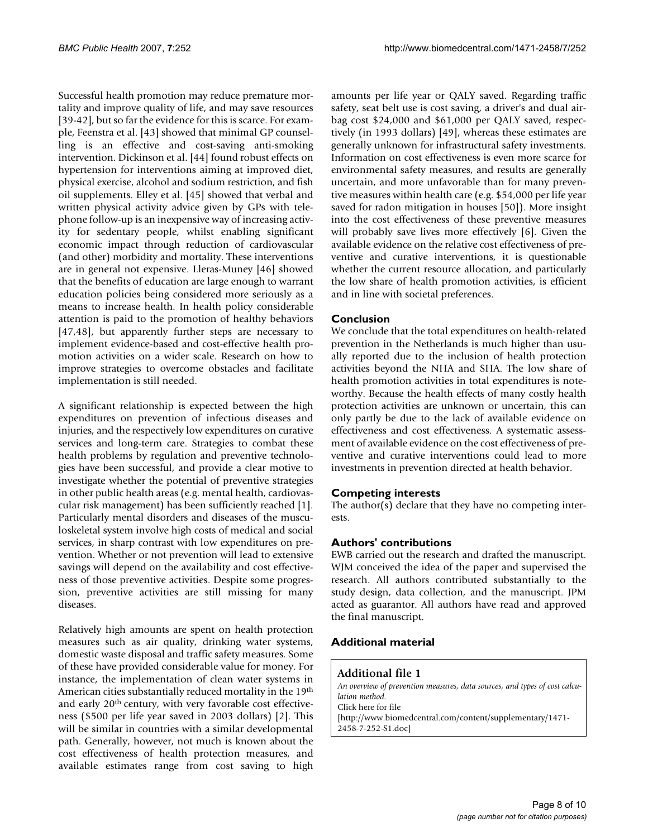Successful health promotion may reduce premature mortality and improve quality of life, and may save resources [39-42], but so far the evidence for this is scarce. For example, Feenstra et al. [43] showed that minimal GP counselling is an effective and cost-saving anti-smoking intervention. Dickinson et al. [44] found robust effects on hypertension for interventions aiming at improved diet, physical exercise, alcohol and sodium restriction, and fish oil supplements. Elley et al. [45] showed that verbal and written physical activity advice given by GPs with telephone follow-up is an inexpensive way of increasing activity for sedentary people, whilst enabling significant economic impact through reduction of cardiovascular (and other) morbidity and mortality. These interventions are in general not expensive. Lleras-Muney [46] showed that the benefits of education are large enough to warrant education policies being considered more seriously as a means to increase health. In health policy considerable attention is paid to the promotion of healthy behaviors [47,48], but apparently further steps are necessary to implement evidence-based and cost-effective health promotion activities on a wider scale. Research on how to improve strategies to overcome obstacles and facilitate implementation is still needed.

A significant relationship is expected between the high expenditures on prevention of infectious diseases and injuries, and the respectively low expenditures on curative services and long-term care. Strategies to combat these health problems by regulation and preventive technologies have been successful, and provide a clear motive to investigate whether the potential of preventive strategies in other public health areas (e.g. mental health, cardiovascular risk management) has been sufficiently reached [1]. Particularly mental disorders and diseases of the musculoskeletal system involve high costs of medical and social services, in sharp contrast with low expenditures on prevention. Whether or not prevention will lead to extensive savings will depend on the availability and cost effectiveness of those preventive activities. Despite some progression, preventive activities are still missing for many diseases.

Relatively high amounts are spent on health protection measures such as air quality, drinking water systems, domestic waste disposal and traffic safety measures. Some of these have provided considerable value for money. For instance, the implementation of clean water systems in American cities substantially reduced mortality in the 19th and early 20th century, with very favorable cost effectiveness (\$500 per life year saved in 2003 dollars) [2]. This will be similar in countries with a similar developmental path. Generally, however, not much is known about the cost effectiveness of health protection measures, and available estimates range from cost saving to high amounts per life year or QALY saved. Regarding traffic safety, seat belt use is cost saving, a driver's and dual airbag cost \$24,000 and \$61,000 per QALY saved, respectively (in 1993 dollars) [49], whereas these estimates are generally unknown for infrastructural safety investments. Information on cost effectiveness is even more scarce for environmental safety measures, and results are generally uncertain, and more unfavorable than for many preventive measures within health care (e.g. \$54,000 per life year saved for radon mitigation in houses [50]). More insight into the cost effectiveness of these preventive measures will probably save lives more effectively [6]. Given the available evidence on the relative cost effectiveness of preventive and curative interventions, it is questionable whether the current resource allocation, and particularly the low share of health promotion activities, is efficient and in line with societal preferences.

# **Conclusion**

We conclude that the total expenditures on health-related prevention in the Netherlands is much higher than usually reported due to the inclusion of health protection activities beyond the NHA and SHA. The low share of health promotion activities in total expenditures is noteworthy. Because the health effects of many costly health protection activities are unknown or uncertain, this can only partly be due to the lack of available evidence on effectiveness and cost effectiveness. A systematic assessment of available evidence on the cost effectiveness of preventive and curative interventions could lead to more investments in prevention directed at health behavior.

# **Competing interests**

The author(s) declare that they have no competing interests.

# **Authors' contributions**

EWB carried out the research and drafted the manuscript. WJM conceived the idea of the paper and supervised the research. All authors contributed substantially to the study design, data collection, and the manuscript. JPM acted as guarantor. All authors have read and approved the final manuscript.

# **Additional material**

# **Additional file 1**

*An overview of prevention measures, data sources, and types of cost calculation method.* Click here for file [\[http://www.biomedcentral.com/content/supplementary/1471-](http://www.biomedcentral.com/content/supplementary/1471-2458-7-252-S1.doc) 2458-7-252-S1.doc]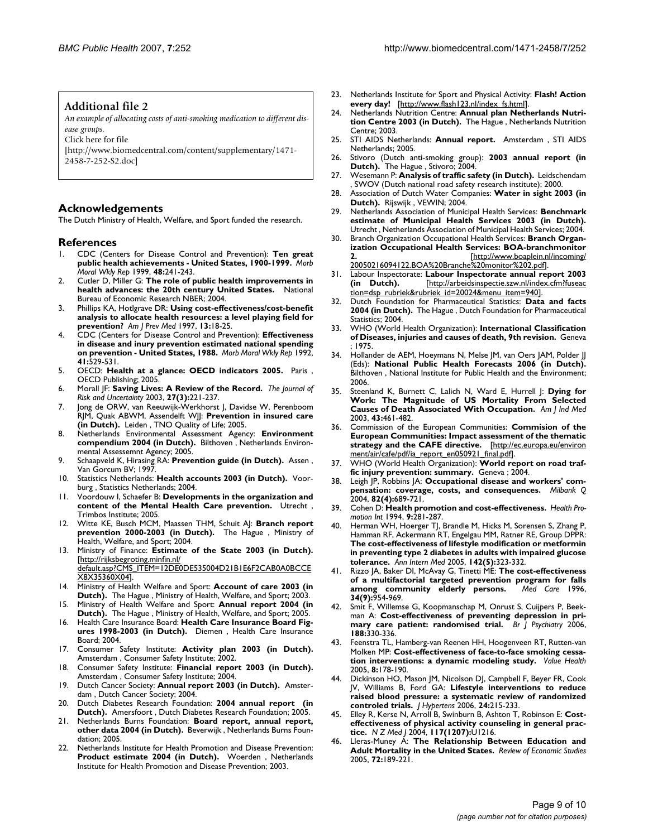#### **Additional file 2**

*An example of allocating costs of anti-smoking medication to different disease groups.*

Click here for file

[\[http://www.biomedcentral.com/content/supplementary/1471-](http://www.biomedcentral.com/content/supplementary/1471-2458-7-252-S2.doc)

2458-7-252-S2.doc]

#### **Acknowledgements**

The Dutch Ministry of Health, Welfare, and Sport funded the research.

#### **References**

- 1. CDC (Centers for Disease Control and Prevention): **Ten great public health achievements - United States, 1900-1999.** *Morb Moral Wkly Rep* 1999, **48:**241-243.
- 2. Cutler D, Miller G: **The role of public health improvements in health advances: the 20th century United States.** National Bureau of Economic Research NBER; 2004.
- 3. Phillips KA, Hotlgrave DR: **[Using cost-effectiveness/cost-benefit](http://www.ncbi.nlm.nih.gov/entrez/query.fcgi?cmd=Retrieve&db=PubMed&dopt=Abstract&list_uids=9037338) [analysis to allocate health resources: a level playing field for](http://www.ncbi.nlm.nih.gov/entrez/query.fcgi?cmd=Retrieve&db=PubMed&dopt=Abstract&list_uids=9037338) [prevention?](http://www.ncbi.nlm.nih.gov/entrez/query.fcgi?cmd=Retrieve&db=PubMed&dopt=Abstract&list_uids=9037338)** *Am J Prev Med* 1997, **13:**18-25.
- 4. CDC (Centers for Disease Control and Prevention): **Effectiveness in disease and inury prevention estimated national spending on prevention - United States, 1988.** *Morb Moral Wkly Rep* 1992, **41:**529-531.
- 5. OECD: **Health at a glance: OECD indicators 2005.** Paris , OECD Publishing; 2005.
- 6. Morall JF: **Saving Lives: A Review of the Record.** *The Journal of Risk and Uncertainty* 2003, **27(3):**221-237.
- 7. Jong de ORW, van Reeuwijk-Werkhorst J, Davidse W, Perenboom RJM, Quak ABWM, Assendelft WJJ: **Prevention in insured care (in Dutch).** Leiden , TNO Quality of Life; 2005.
- 8. Netherlands Environmental Assessment Agency: **Environment compendium 2004 (in Dutch).** Bilthoven , Netherlands Environmental Assessemnt Agency; 2005.
- 9. Schaapveld K, Hirasing RA: **[Prevention guide \(in Dutch\).](http://www.ncbi.nlm.nih.gov/entrez/query.fcgi?cmd=Retrieve&db=PubMed&dopt=Abstract&list_uids=9550737)** Assen , Van Gorcum BV; 1997.
- 10. Statistics Netherlands: **Health accounts 2003 (in Dutch).** Voorburg , Statistics Netherlands; 2004.
- 11. Voordouw I, Schaefer B: **[Developments in the organization and](http://www.ncbi.nlm.nih.gov/entrez/query.fcgi?cmd=Retrieve&db=PubMed&dopt=Abstract&list_uids=16004697) [content of the Mental Health Care prevention.](http://www.ncbi.nlm.nih.gov/entrez/query.fcgi?cmd=Retrieve&db=PubMed&dopt=Abstract&list_uids=16004697)** Utrecht , Trimbos Institute; 2005.
- 12. Witte KE, Busch MCM, Maassen THM, Schuit AJ: **Branch report prevention 2000-2003 (in Dutch).** The Hague , Ministry of Health, Welfare, and Sport; 2004.
- 13. Ministry of Finance: **Estimate of the State 2003 (in Dutch).** [[http://rijksbegroting.minfin.nl/](http://rijksbegroting.minfin.nl/default.asp?CMS_ITEM=12DE0DE535004D21B1E6F2CAB0A0BCCEX8X35360X04) [default.asp?CMS\\_ITEM=12DE0DE535004D21B1E6F2CAB0A0BCCE](http://rijksbegroting.minfin.nl/default.asp?CMS_ITEM=12DE0DE535004D21B1E6F2CAB0A0BCCEX8X35360X04) [X8X35360X04](http://rijksbegroting.minfin.nl/default.asp?CMS_ITEM=12DE0DE535004D21B1E6F2CAB0A0BCCEX8X35360X04)].
- 14. Ministry of Health Welfare and Sport: **Account of care 2003 (in Dutch).** The Hague , Ministry of Health, Welfare, and Sport; 2003.
- 15. Ministry of Health Welfare and Sport: **Annual report 2004 (in Dutch).** The Hague , Ministry of Health, Welfare, and Sport; 2005.
- 16. Health Care Insurance Board: **Health Care Insurance Board Figures 1998-2003 (in Dutch).** Diemen , Health Care Insurance Board; 2004.
- 17. Consumer Safety Institute: **Activity plan 2003 (in Dutch).** Amsterdam , Consumer Safety Institute; 2002.
- 18. Consumer Safety Institute: **Financial report 2003 (in Dutch).** Amsterdam , Consumer Safety Institute; 2004.
- 19. Dutch Cancer Society: **Annual report 2003 (in Dutch).** Amsterdam , Dutch Cancer Society; 2004.
- 20. Dutch Diabetes Research Foundation: **2004 annual report (in Dutch).** Amersfoort , Dutch Diabetes Research Foundation; 2005.
- 21. Netherlands Burns Foundation: **Board report, annual report, other data 2004 (in Dutch).** Beverwijk , Netherlands Burns Foundation; 2005.
- 22. Netherlands Institute for Health Promotion and Disease Prevention: **Product estimate 2004 (in Dutch).** Woerden , Netherlands Institute for Health Promotion and Disease Prevention; 2003.
- 23. Netherlands Institute for Sport and Physical Activity: **Flash! Action every day!** [\[http://www.flash123.nl/index\\_fs.html\]](http://www.flash123.nl/index_fs.html)
- 24. Netherlands Nutrition Centre: **Annual plan Netherlands Nutrition Centre 2003 (in Dutch).** The Hague , Netherlands Nutrition Centre; 2003.
- 25. STI AIDS Netherlands: **Annual report.** Amsterdam , STI AIDS Netherlands; 2005.
- 26. Stivoro (Dutch anti-smoking group): **2003 annual report (in** Dutch). The Hague, Stivoro; 2004
- 27. Wesemann P: **Analysis of traffic safety (in Dutch).** Leidschendam , SWOV (Dutch national road safety research institute); 2000.
- 28. Association of Dutch Water Companies: **Water in sight 2003 (in Dutch).** Rijswijk , VEWIN; 2004.
- 29. Netherlands Association of Municipal Health Services: **Benchmark estimate of Municipal Health Services 2003 (in Dutch).** Utrecht , Netherlands Association of Municipal Health Services; 2004.
- 30. Branch Organization Occupational Health Services: **Branch Organization Occupational Health Services: BOA-branchmonitor 2.** [\[http://www.boaplein.nl/incoming/](http://www.boaplein.nl/incoming/20050216094122.BOA%20Branche%20monitor%202.pdf) [20050216094122.BOA%20Branche%20monitor%202.pdf](http://www.boaplein.nl/incoming/20050216094122.BOA%20Branche%20monitor%202.pdf)].
- 31. Labour Inspectorate: **Labour Inspectorate annual report 2003** [[http://arbeidsinspectie.szw.nl/index.cfm?fuseac](http://arbeidsinspectie.szw.nl/index.cfm?fuseaction=dsp_rubriek&rubriek_id=20024&menu_item=940) [tion=dsp\\_rubriek&rubriek\\_id=20024&menu\\_item=940\]](http://arbeidsinspectie.szw.nl/index.cfm?fuseaction=dsp_rubriek&rubriek_id=20024&menu_item=940).
- 32. Dutch Foundation for Pharmaceutical Statistics: **Data and facts 2004 (in Dutch).** The Hague , Dutch Foundation for Pharmaceutical Statistics; 2004.
- 33. WHO (World Health Organization): **International Classification of Diseases, injuries and causes of death, 9th revision.** Geneva ; 1975.
- 34. Hollander de AEM, Hoeymans N, Melse JM, van Oers JAM, Polder JJ (Eds): **National Public Health Forecasts 2006 (in Dutch).** Bilthoven , National Institute for Public Health and the Environment; 2006.
- 35. Steenland K, Burnett C, Lalich N, Ward E, Hurrell J: **[Dying for](http://www.ncbi.nlm.nih.gov/entrez/query.fcgi?cmd=Retrieve&db=PubMed&dopt=Abstract&list_uids=12704620) [Work: The Magnitude of US Mortality From Selected](http://www.ncbi.nlm.nih.gov/entrez/query.fcgi?cmd=Retrieve&db=PubMed&dopt=Abstract&list_uids=12704620) [Causes of Death Associated With Occupation.](http://www.ncbi.nlm.nih.gov/entrez/query.fcgi?cmd=Retrieve&db=PubMed&dopt=Abstract&list_uids=12704620)** *Am J Ind Med* 2003, **43:**461-482.
- 36. Commission of the European Communities: **Commision of the European Communities: Impact assessment of the thematic strategy and the CAFE directive.** [\[http://ec.europa.eu/environ](http://ec.europa.eu/environment/air/cafe/pdf/ia_report_en050921_final.pdf) [ment/air/cafe/pdf/ia\\_report\\_en050921\\_final.pdf\]](http://ec.europa.eu/environment/air/cafe/pdf/ia_report_en050921_final.pdf).
- 37. WHO (World Health Organization): **World report on road traffic injury prevention: summary.** Geneva ; 2004.
- 38. Leigh JP, Robbins JA: **[Occupational disease and workers' com](http://www.ncbi.nlm.nih.gov/entrez/query.fcgi?cmd=Retrieve&db=PubMed&dopt=Abstract&list_uids=15595947)[pensation: coverage, costs, and consequences.](http://www.ncbi.nlm.nih.gov/entrez/query.fcgi?cmd=Retrieve&db=PubMed&dopt=Abstract&list_uids=15595947)** *Milbank Q* 2004, **82(4):**689-721.
- 39. Cohen D: **Health promotion and cost-effectiveness.** *Health Promotion Int* 1994, **9:**281-287.
- 40. Herman WH, Hoerger TJ, Brandle M, Hicks M, Sorensen S, Zhang P, Hamman RF, Ackermann RT, Engelgau MM, Ratner RE, Group DPPR: **The cost-effectiveness of lifestyle modification or metformin [in preventing type 2 diabetes in adults with impaired glucose](http://www.ncbi.nlm.nih.gov/entrez/query.fcgi?cmd=Retrieve&db=PubMed&dopt=Abstract&list_uids=15738451) [tolerance.](http://www.ncbi.nlm.nih.gov/entrez/query.fcgi?cmd=Retrieve&db=PubMed&dopt=Abstract&list_uids=15738451)** *Ann Intern Med* 2005, **142(5):**323-332.
- 41. Rizzo JA, Baker DI, McAvay G, Tinetti ME: **[The cost-effectiveness](http://www.ncbi.nlm.nih.gov/entrez/query.fcgi?cmd=Retrieve&db=PubMed&dopt=Abstract&list_uids=8792783) [of a multifactorial targeted prevention program for falls](http://www.ncbi.nlm.nih.gov/entrez/query.fcgi?cmd=Retrieve&db=PubMed&dopt=Abstract&list_uids=8792783)** [among community elderly persons.](http://www.ncbi.nlm.nih.gov/entrez/query.fcgi?cmd=Retrieve&db=PubMed&dopt=Abstract&list_uids=8792783) **34(9):**954-969.
- 42. Smit F, Willemse G, Koopmanschap M, Onrust S, Cuijpers P, Beekman A: **[Cost-effectiveness of preventing depression in pri](http://www.ncbi.nlm.nih.gov/entrez/query.fcgi?cmd=Retrieve&db=PubMed&dopt=Abstract&list_uids=16582059)[mary care patient: randomised trial.](http://www.ncbi.nlm.nih.gov/entrez/query.fcgi?cmd=Retrieve&db=PubMed&dopt=Abstract&list_uids=16582059)** *Br J Psychiatry* 2006, **188:**330-336.
- 43. Feenstra TL, Hamberg-van Reenen HH, Hoogenveen RT, Rutten-van Molken MP: **[Cost-effectiveness of face-to-face smoking cessa](http://www.ncbi.nlm.nih.gov/entrez/query.fcgi?cmd=Retrieve&db=PubMed&dopt=Abstract&list_uids=15877590)[tion interventions: a dynamic modeling study.](http://www.ncbi.nlm.nih.gov/entrez/query.fcgi?cmd=Retrieve&db=PubMed&dopt=Abstract&list_uids=15877590)** *Value Health* 2005, **8:**178-190.
- 44. Dickinson HO, Mason JM, Nicolson DJ, Campbell F, Beyer FR, Cook JV, Williams B, Ford GA: **[Lifestyle interventions to reduce](http://www.ncbi.nlm.nih.gov/entrez/query.fcgi?cmd=Retrieve&db=PubMed&dopt=Abstract&list_uids=16508562) [raised blood pressure: a systematic review of randomized](http://www.ncbi.nlm.nih.gov/entrez/query.fcgi?cmd=Retrieve&db=PubMed&dopt=Abstract&list_uids=16508562) [controled trials.](http://www.ncbi.nlm.nih.gov/entrez/query.fcgi?cmd=Retrieve&db=PubMed&dopt=Abstract&list_uids=16508562)** *J Hypertens* 2006, **24:**215-233.
- 45. Elley R, Kerse N, Arroll B, Swinburn B, Ashton T, Robinson E: **[Cost](http://www.ncbi.nlm.nih.gov/entrez/query.fcgi?cmd=Retrieve&db=PubMed&dopt=Abstract&list_uids=15608809)[effectiveness of physical activity counseling in general prac](http://www.ncbi.nlm.nih.gov/entrez/query.fcgi?cmd=Retrieve&db=PubMed&dopt=Abstract&list_uids=15608809)[tice.](http://www.ncbi.nlm.nih.gov/entrez/query.fcgi?cmd=Retrieve&db=PubMed&dopt=Abstract&list_uids=15608809)** *N Z Med J* 2004, **117(1207):**U1216.
- 46. Lleras-Muney A: **The Relationship Between Education and Adult Mortality in the United States.** *Review of Economic Studies* 2005, **72:**189-221.